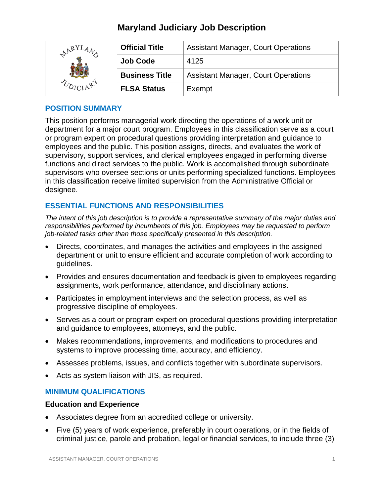# **Maryland Judiciary Job Description**

| <b>ARYI</b> | <b>Official Title</b> | <b>Assistant Manager, Court Operations</b> |
|-------------|-----------------------|--------------------------------------------|
|             | <b>Job Code</b>       | 4125                                       |
|             | <b>Business Title</b> | <b>Assistant Manager, Court Operations</b> |
|             | <b>FLSA Status</b>    | Exempt                                     |

### **POSITION SUMMARY**

This position performs managerial work directing the operations of a work unit or department for a major court program. Employees in this classification serve as a court or program expert on procedural questions providing interpretation and guidance to employees and the public. This position assigns, directs, and evaluates the work of supervisory, support services, and clerical employees engaged in performing diverse functions and direct services to the public. Work is accomplished through subordinate supervisors who oversee sections or units performing specialized functions. Employees in this classification receive limited supervision from the Administrative Official or designee.

# **ESSENTIAL FUNCTIONS AND RESPONSIBILITIES**

*The intent of this job description is to provide a representative summary of the major duties and responsibilities performed by incumbents of this job. Employees may be requested to perform job-related tasks other than those specifically presented in this description.*

- Directs, coordinates, and manages the activities and employees in the assigned department or unit to ensure efficient and accurate completion of work according to guidelines.
- Provides and ensures documentation and feedback is given to employees regarding assignments, work performance, attendance, and disciplinary actions.
- Participates in employment interviews and the selection process, as well as progressive discipline of employees.
- Serves as a court or program expert on procedural questions providing interpretation and guidance to employees, attorneys, and the public.
- Makes recommendations, improvements, and modifications to procedures and systems to improve processing time, accuracy, and efficiency.
- Assesses problems, issues, and conflicts together with subordinate supervisors.
- Acts as system liaison with JIS, as required.

## **MINIMUM QUALIFICATIONS**

### **Education and Experience**

- Associates degree from an accredited college or university.
- Five (5) years of work experience, preferably in court operations, or in the fields of criminal justice, parole and probation, legal or financial services, to include three (3)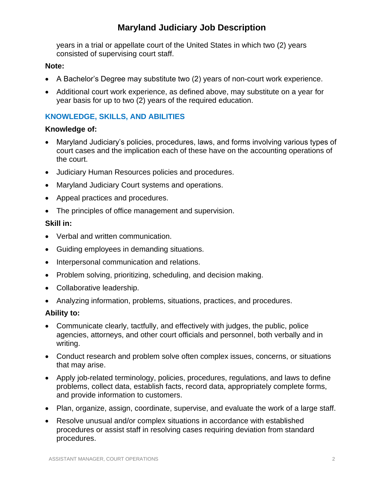# **Maryland Judiciary Job Description**

years in a trial or appellate court of the United States in which two (2) years consisted of supervising court staff.

## **Note:**

- A Bachelor's Degree may substitute two (2) years of non-court work experience.
- Additional court work experience, as defined above, may substitute on a year for year basis for up to two (2) years of the required education.

# **KNOWLEDGE, SKILLS, AND ABILITIES**

### **Knowledge of:**

- Maryland Judiciary's policies, procedures, laws, and forms involving various types of court cases and the implication each of these have on the accounting operations of the court.
- Judiciary Human Resources policies and procedures.
- Maryland Judiciary Court systems and operations.
- Appeal practices and procedures.
- The principles of office management and supervision.

## **Skill in:**

- Verbal and written communication.
- Guiding employees in demanding situations.
- Interpersonal communication and relations.
- Problem solving, prioritizing, scheduling, and decision making.
- Collaborative leadership.
- Analyzing information, problems, situations, practices, and procedures.

## **Ability to:**

- Communicate clearly, tactfully, and effectively with judges, the public, police agencies, attorneys, and other court officials and personnel, both verbally and in writing.
- Conduct research and problem solve often complex issues, concerns, or situations that may arise.
- Apply job-related terminology, policies, procedures, regulations, and laws to define problems, collect data, establish facts, record data, appropriately complete forms, and provide information to customers.
- Plan, organize, assign, coordinate, supervise, and evaluate the work of a large staff.
- Resolve unusual and/or complex situations in accordance with established procedures or assist staff in resolving cases requiring deviation from standard procedures.